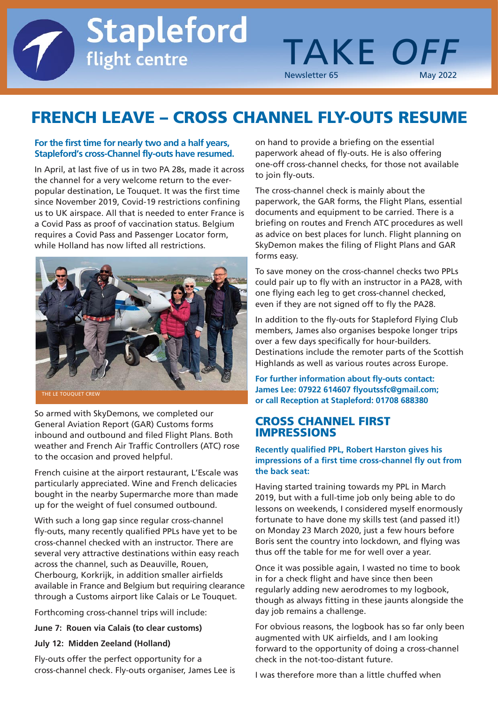# **FRENCH LEAVE – CROSS CHANNEL FLY-OUTS RESUME**

### **For the first time for nearly two and a half years, Stapleford's cross-Channel fly-outs have resumed.**

flight centre

**Stapleford** 

In April, at last five of us in two PA 28s, made it across the channel for a very welcome return to the everpopular destination, Le Touquet. It was the first time since November 2019, Covid-19 restrictions confining us to UK airspace. All that is needed to enter France is a Covid Pass as proof of vaccination status. Belgium requires a Covid Pass and Passenger Locator form, while Holland has now lifted all restrictions.



So armed with SkyDemons, we completed our General Aviation Report (GAR) Customs forms inbound and outbound and filed Flight Plans. Both weather and French Air Traffic Controllers (ATC) rose to the occasion and proved helpful.

French cuisine at the airport restaurant, L'Escale was particularly appreciated. Wine and French delicacies bought in the nearby Supermarche more than made up for the weight of fuel consumed outbound.

With such a long gap since regular cross-channel fly-outs, many recently qualified PPLs have yet to be cross-channel checked with an instructor. There are several very attractive destinations within easy reach across the channel, such as Deauville, Rouen, Cherbourg, Korkrijk, in addition smaller airfields available in France and Belgium but requiring clearance through a Customs airport like Calais or Le Touquet.

Forthcoming cross-channel trips will include:

#### **June 7: Rouen via Calais (to clear customs)**

### **July 12: Midden Zeeland (Holland)**

Fly-outs offer the perfect opportunity for a cross-channel check. Fly-outs organiser, James Lee is on hand to provide a briefing on the essential paperwork ahead of fly-outs. He is also offering one-off cross-channel checks, for those not available to join fly-outs.

**TAKE OFF** 

Newsletter 65

The cross-channel check is mainly about the paperwork, the GAR forms, the Flight Plans, essential documents and equipment to be carried. There is a briefing on routes and French ATC procedures as well as advice on best places for lunch. Flight planning on SkyDemon makes the filing of Flight Plans and GAR forms easy.

To save money on the cross-channel checks two PPLs could pair up to fly with an instructor in a PA28, with one flying each leg to get cross-channel checked, even if they are not signed off to fly the PA28.

In addition to the fly-outs for Stapleford Flying Club members, James also organises bespoke longer trips over a few days specifically for hour-builders. Destinations include the remoter parts of the Scottish Highlands as well as various routes across Europe.

**For further information about fly-outs contact: James Lee: 07922 614607 flyoutssfc@gmail.com; or call Reception at Stapleford: 01708 688380**

### **CROSS CHANNEL FIRST IMPRESSIONS**

### **Recently qualified PPL, Robert Harston gives his impressions of a first time cross-channel fly out from the back seat:**

Having started training towards my PPL in March 2019, but with a full-time job only being able to do lessons on weekends, I considered myself enormously fortunate to have done my skills test (and passed it!) on Monday 23 March 2020, just a few hours before Boris sent the country into lockdown, and flying was thus off the table for me for well over a year.

Once it was possible again, I wasted no time to book in for a check flight and have since then been regularly adding new aerodromes to my logbook, though as always fitting in these jaunts alongside the day job remains a challenge.

For obvious reasons, the logbook has so far only been augmented with UK airfields, and I am looking forward to the opportunity of doing a cross-channel check in the not-too-distant future.

I was therefore more than a little chuffed when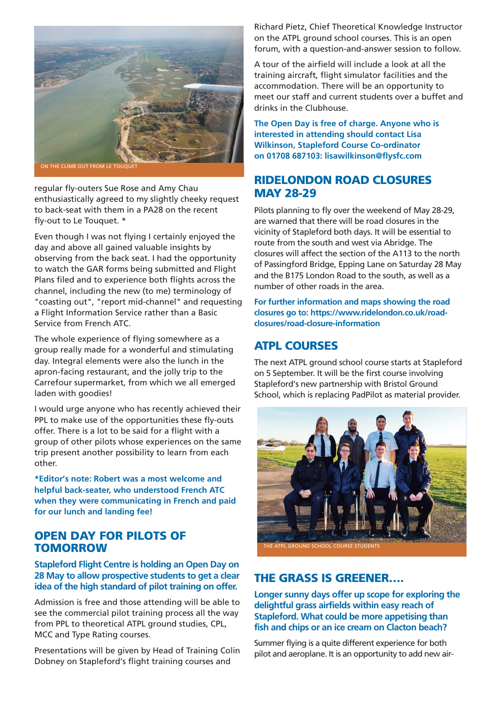

regular fly-outers Sue Rose and Amy Chau enthusiastically agreed to my slightly cheeky request to back-seat with them in a PA28 on the recent fly-out to Le Touquet. \*

Even though I was not flying I certainly enjoyed the day and above all gained valuable insights by observing from the back seat. I had the opportunity to watch the GAR forms being submitted and Flight Plans filed and to experience both flights across the channel, including the new (to me) terminology of "coasting out", "report mid-channel" and requesting a Flight Information Service rather than a Basic Service from French ATC.

The whole experience of flying somewhere as a group really made for a wonderful and stimulating day. Integral elements were also the lunch in the apron-facing restaurant, and the jolly trip to the Carrefour supermarket, from which we all emerged laden with goodies!

I would urge anyone who has recently achieved their PPL to make use of the opportunities these fly-outs offer. There is a lot to be said for a flight with a group of other pilots whose experiences on the same trip present another possibility to learn from each other.

**\*Editor's note: Robert was a most welcome and helpful back-seater, who understood French ATC when they were communicating in French and paid for our lunch and landing fee!**

# **OPEN DAY FOR PILOTS OF TOMORROW**

### **Stapleford Flight Centre is holding an Open Day on 28 May to allow prospective students to get a clear idea of the high standard of pilot training on offer.**

Admission is free and those attending will be able to see the commercial pilot training process all the way from PPL to theoretical ATPL ground studies, CPL, MCC and Type Rating courses.

Presentations will be given by Head of Training Colin Dobney on Stapleford's flight training courses and

Richard Pietz, Chief Theoretical Knowledge Instructor on the ATPL ground school courses. This is an open forum, with a question-and-answer session to follow.

A tour of the airfield will include a look at all the training aircraft, flight simulator facilities and the accommodation. There will be an opportunity to meet our staff and current students over a buffet and drinks in the Clubhouse.

**The Open Day is free of charge. Anyone who is interested in attending should contact Lisa Wilkinson, Stapleford Course Co-ordinator on 01708 687103: lisawilkinson@flysfc.com**

# **RIDELONDON ROAD CLOSURES MAY 28-29**

Pilots planning to fly over the weekend of May 28-29, are warned that there will be road closures in the vicinity of Stapleford both days. It will be essential to route from the south and west via Abridge. The closures will affect the section of the A113 to the north of Passingford Bridge, Epping Lane on Saturday 28 May and the B175 London Road to the south, as well as a number of other roads in the area.

**For further information and maps showing the road closures go to: https://www.ridelondon.co.uk/roadclosures/road-closure-information**

# **ATPL COURSES**

The next ATPL ground school course starts at Stapleford on 5 September. It will be the first course involving Stapleford's new partnership with Bristol Ground School, which is replacing PadPilot as material provider.



**THE GRASS IS GREENER….**

**Longer sunny days offer up scope for exploring the delightful grass airfields within easy reach of Stapleford. What could be more appetising than fish and chips or an ice cream on Clacton beach?**

Summer flying is a quite different experience for both pilot and aeroplane. It is an opportunity to add new air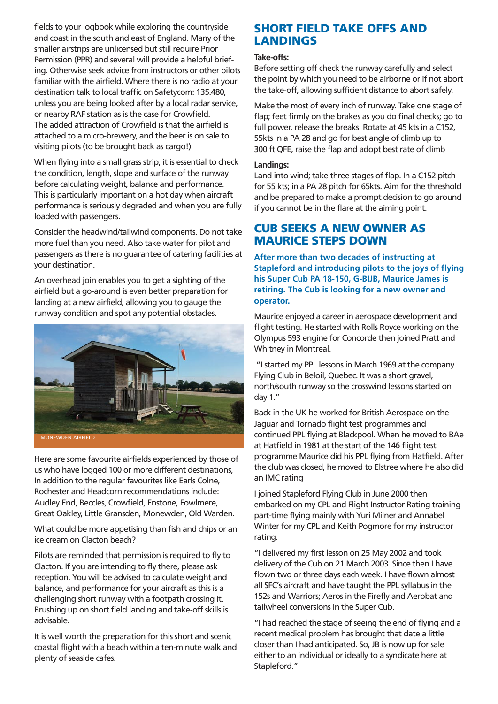fields to your logbook while exploring the countryside and coast in the south and east of England. Many of the smaller airstrips are unlicensed but still require Prior Permission (PPR) and several will provide a helpful briefing. Otherwise seek advice from instructors or other pilots familiar with the airfield. Where there is no radio at your destination talk to local traffic on Safetycom: 135.480, unless you are being looked after by a local radar service, or nearby RAF station as is the case for Crowfield. The added attraction of Crowfield is that the airfield is attached to a micro-brewery, and the beer is on sale to visiting pilots (to be brought back as cargo!).

When flying into a small grass strip, it is essential to check the condition, length, slope and surface of the runway before calculating weight, balance and performance. This is particularly important on a hot day when aircraft performance is seriously degraded and when you are fully loaded with passengers.

Consider the headwind/tailwind components. Do not take more fuel than you need. Also take water for pilot and passengers as there is no guarantee of catering facilities at your destination.

An overhead join enables you to get a sighting of the airfield but a go-around is even better preparation for landing at a new airfield, allowing you to gauge the runway condition and spot any potential obstacles.



Here are some favourite airfields experienced by those of us who have logged 100 or more different destinations, In addition to the regular favourites like Earls Colne, Rochester and Headcorn recommendations include: Audley End, Beccles, Crowfield, Enstone, Fowlmere, Great Oakley, Little Gransden, Monewden, Old Warden.

What could be more appetising than fish and chips or an ice cream on Clacton beach?

Pilots are reminded that permission is required to fly to Clacton. If you are intending to fly there, please ask reception. You will be advised to calculate weight and balance, and performance for your aircraft as this is a challenging short runway with a footpath crossing it. Brushing up on short field landing and take-off skills is advisable.

It is well worth the preparation for this short and scenic coastal flight with a beach within a ten-minute walk and plenty of seaside cafes.

# **SHORT FIELD TAKE OFFS AND LANDINGS**

### **Take-offs:**

Before setting off check the runway carefully and select the point by which you need to be airborne or if not abort the take-off, allowing sufficient distance to abort safely.

Make the most of every inch of runway. Take one stage of flap; feet firmly on the brakes as you do final checks; go to full power, release the breaks. Rotate at 45 kts in a C152, 55kts in a PA 28 and go for best angle of climb up to 300 ft QFE, raise the flap and adopt best rate of climb

### **Landings:**

Land into wind; take three stages of flap. In a C152 pitch for 55 kts; in a PA 28 pitch for 65kts. Aim for the threshold and be prepared to make a prompt decision to go around if you cannot be in the flare at the aiming point.

### **CUB SEEKS A NEW OWNER AS MAURICE STEPS DOWN**

**After more than two decades of instructing at Stapleford and introducing pilots to the joys of flying his Super Cub PA 18-150, G-BIJB, Maurice James is retiring. The Cub is looking for a new owner and operator.**

Maurice enjoyed a career in aerospace development and flight testing. He started with Rolls Royce working on the Olympus 593 engine for Concorde then joined Pratt and Whitney in Montreal.

"I started my PPL lessons in March 1969 at the company Flying Club in Beloil, Quebec. It was a short gravel, north/south runway so the crosswind lessons started on day 1."

Back in the UK he worked for British Aerospace on the Jaguar and Tornado flight test programmes and continued PPL flying at Blackpool. When he moved to BAe at Hatfield in 1981 at the start of the 146 flight test programme Maurice did his PPL flying from Hatfield. After the club was closed, he moved to Elstree where he also did an IMC rating

I joined Stapleford Flying Club in June 2000 then embarked on my CPL and Flight Instructor Rating training part-time flying mainly with Yuri Milner and Annabel Winter for my CPL and Keith Pogmore for my instructor rating.

"I delivered my first lesson on 25 May 2002 and took delivery of the Cub on 21 March 2003. Since then I have flown two or three days each week. I have flown almost all SFC's aircraft and have taught the PPL syllabus in the 152s and Warriors; Aeros in the Firefly and Aerobat and tailwheel conversions in the Super Cub.

"I had reached the stage of seeing the end of flying and a recent medical problem has brought that date a little closer than I had anticipated. So, JB is now up for sale either to an individual or ideally to a syndicate here at Stapleford."